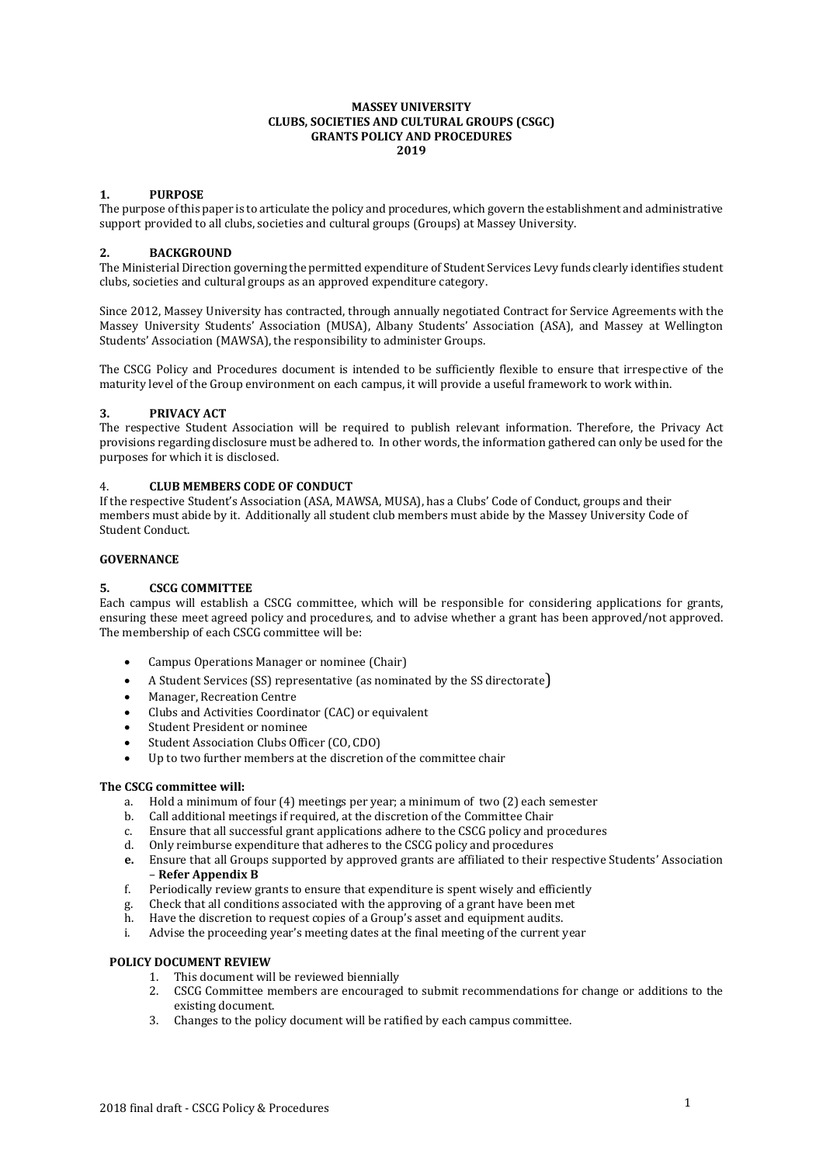#### **MASSEY UNIVERSITY CLUBS, SOCIETIES AND CULTURAL GROUPS (CSGC) GRANTS POLICY AND PROCEDURES 2019**

## **1. PURPOSE**

The purpose of this paper is to articulate the policy and procedures, which govern the establishment and administrative support provided to all clubs, societies and cultural groups (Groups) at Massey University.

# **2. BACKGROUND**

The Ministerial Direction governing the permitted expenditure of Student Services Levy funds clearly identifies student clubs, societies and cultural groups as an approved expenditure category.

Since 2012, Massey University has contracted, through annually negotiated Contract for Service Agreements with the Massey University Students' Association (MUSA), Albany Students' Association (ASA), and Massey at Wellington Students' Association (MAWSA), the responsibility to administer Groups.

The CSCG Policy and Procedures document is intended to be sufficiently flexible to ensure that irrespective of the maturity level of the Group environment on each campus, it will provide a useful framework to work within.

# **3. PRIVACY ACT**

The respective Student Association will be required to publish relevant information. Therefore, the Privacy Act provisions regarding disclosure must be adhered to. In other words, the information gathered can only be used for the purposes for which it is disclosed.

#### 4. **CLUB MEMBERS CODE OF CONDUCT**

If the respective Student's Association (ASA, MAWSA, MUSA), has a Clubs' Code of Conduct, groups and their members must abide by it. Additionally all student club members must abide by the Massey University Code of Student Conduct.

### **GOVERNANCE**

# **5. CSCG COMMITTEE**

Each campus will establish a CSCG committee, which will be responsible for considering applications for grants, ensuring these meet agreed policy and procedures, and to advise whether a grant has been approved/not approved. The membership of each CSCG committee will be:

- Campus Operations Manager or nominee (Chair)
- A Student Services (SS) representative (as nominated by the SS directorate)
- Manager, Recreation Centre
- Clubs and Activities Coordinator (CAC) or equivalent
- Student President or nominee
- Student Association Clubs Officer (CO, CDO)
- Up to two further members at the discretion of the committee chair

#### **The CSCG committee will:**

- a. Hold a minimum of four (4) meetings per year; a minimum of two (2) each semester
- b. Call additional meetings if required, at the discretion of the Committee Chair
- c. Ensure that all successful grant applications adhere to the CSCG policy and procedures
- d. Only reimburse expenditure that adheres to the CSCG policy and procedures
- **e.** Ensure that all Groups supported by approved grants are affiliated to their respective Students' Association – **Refer Appendix B**
- f. Periodically review grants to ensure that expenditure is spent wisely and efficiently
- g. Check that all conditions associated with the approving of a grant have been met
- h. Have the discretion to request copies of a Group's asset and equipment audits.
- i. Advise the proceeding year's meeting dates at the final meeting of the current year

#### **POLICY DOCUMENT REVIEW**

- 1. This document will be reviewed biennially
- 2. CSCG Committee members are encouraged to submit recommendations for change or additions to the existing document.
- 3. Changes to the policy document will be ratified by each campus committee.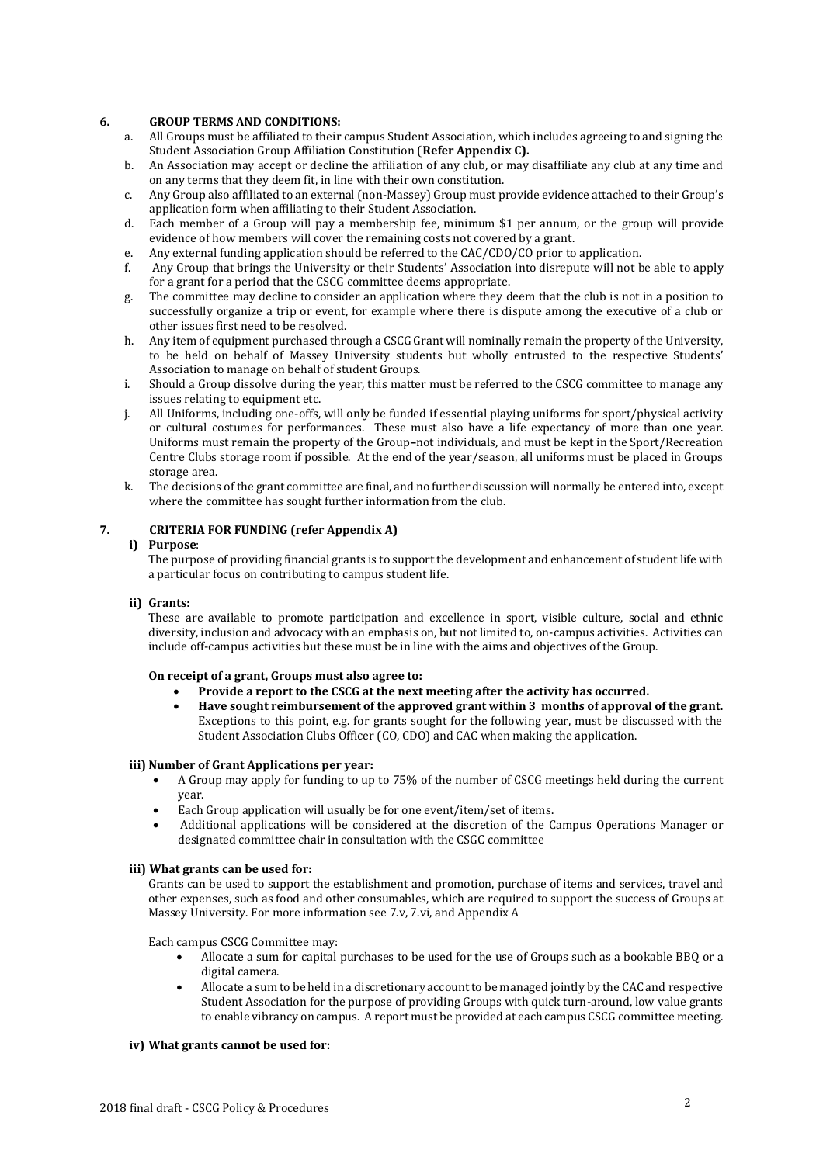# **6. GROUP TERMS AND CONDITIONS:**

- a. All Groups must be affiliated to their campus Student Association, which includes agreeing to and signing the Student Association Group Affiliation Constitution (**Refer Appendix C).**
- b. An Association may accept or decline the affiliation of any club, or may disaffiliate any club at any time and on any terms that they deem fit, in line with their own constitution.
- c. Any Group also affiliated to an external (non-Massey) Group must provide evidence attached to their Group's application form when affiliating to their Student Association.
- d. Each member of a Group will pay a membership fee, minimum \$1 per annum, or the group will provide evidence of how members will cover the remaining costs not covered by a grant.
- e. Any external funding application should be referred to the CAC/CDO/CO prior to application.
- f. Any Group that brings the University or their Students' Association into disrepute will not be able to apply for a grant for a period that the CSCG committee deems appropriate.
- g. The committee may decline to consider an application where they deem that the club is not in a position to successfully organize a trip or event, for example where there is dispute among the executive of a club or other issues first need to be resolved.
- h. Any item of equipment purchased through a CSCG Grant will nominally remain the property of the University, to be held on behalf of Massey University students but wholly entrusted to the respective Students' Association to manage on behalf of student Groups.
- i. Should a Group dissolve during the year, this matter must be referred to the CSCG committee to manage any issues relating to equipment etc.
- j. All Uniforms, including one-offs, will only be funded if essential playing uniforms for sport/physical activity or cultural costumes for performances. These must also have a life expectancy of more than one year. Uniforms must remain the property of the Group**–**not individuals, and must be kept in the Sport/Recreation Centre Clubs storage room if possible. At the end of the year/season, all uniforms must be placed in Groups storage area.
- k. The decisions of the grant committee are final, and no further discussion will normally be entered into, except where the committee has sought further information from the club.

# **7. CRITERIA FOR FUNDING (refer Appendix A)**

#### **i) Purpose**:

The purpose of providing financial grants is to support the development and enhancement of student life with a particular focus on contributing to campus student life.

### **ii) Grants:**

These are available to promote participation and excellence in sport, visible culture, social and ethnic diversity, inclusion and advocacy with an emphasis on, but not limited to, on-campus activities. Activities can include off-campus activities but these must be in line with the aims and objectives of the Group.

## **On receipt of a grant, Groups must also agree to:**

- **Provide a report to the CSCG at the next meeting after the activity has occurred.**
- **Have sought reimbursement of the approved grant within 3 months of approval of the grant.** Exceptions to this point, e.g. for grants sought for the following year, must be discussed with the Student Association Clubs Officer (CO, CDO) and CAC when making the application.

#### **iii) Number of Grant Applications per year:**

- A Group may apply for funding to up to 75% of the number of CSCG meetings held during the current year.
- Each Group application will usually be for one event/item/set of items.
- Additional applications will be considered at the discretion of the Campus Operations Manager or designated committee chair in consultation with the CSGC committee

#### **iii) What grants can be used for:**

Grants can be used to support the establishment and promotion, purchase of items and services, travel and other expenses, such as food and other consumables, which are required to support the success of Groups at Massey University. For more information see 7.v, 7.vi, and Appendix A

Each campus CSCG Committee may:

- Allocate a sum for capital purchases to be used for the use of Groups such as a bookable BBQ or a digital camera.
- Allocate a sum to be held in a discretionary account to be managed jointly by the CAC and respective Student Association for the purpose of providing Groups with quick turn-around, low value grants to enable vibrancy on campus. A report must be provided at each campus CSCG committee meeting.

#### **iv) What grants cannot be used for:**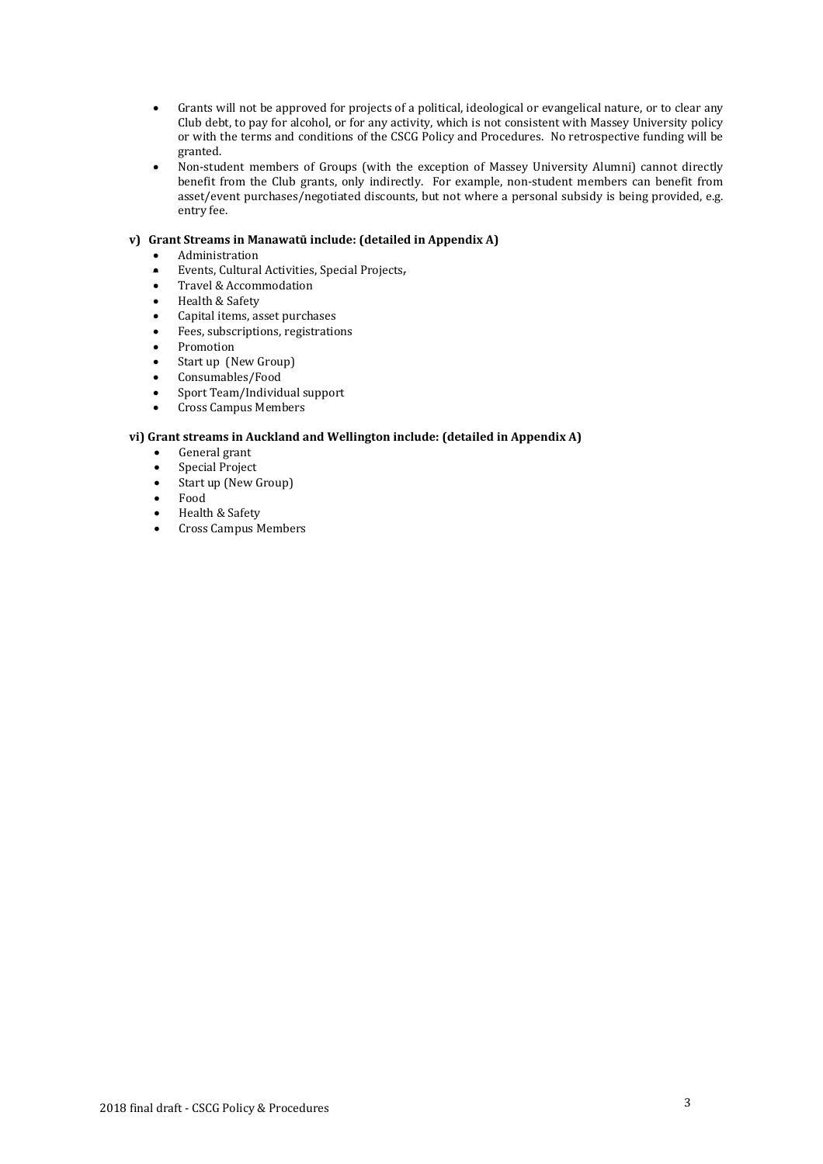- Grants will not be approved for projects of a political, ideological or evangelical nature, or to clear any Club debt, to pay for alcohol, or for any activity, which is not consistent with Massey University policy or with the terms and conditions of the CSCG Policy and Procedures. No retrospective funding will be granted.
- Non-student members of Groups (with the exception of Massey University Alumni) cannot directly benefit from the Club grants, only indirectly. For example, non-student members can benefit from asset/event purchases/negotiated discounts, but not where a personal subsidy is being provided, e.g. entry fee.

## **v) Grant Streams in Manawatū include: (detailed in Appendix A)**

- Administration
- Events, Cultural Activities, Special Projects,
- Travel & Accommodation
- Health & Safety
- Capital items, asset purchases
- Fees, subscriptions, registrations
- Promotion
- Start up (New Group)
- Consumables/Food
- Sport Team/Individual support
- Cross Campus Members

#### **vi) Grant streams in Auckland and Wellington include: (detailed in Appendix A)**

- General grant
- Special Project
- Start up (New Group)
- Food
- Health & Safety
- Cross Campus Members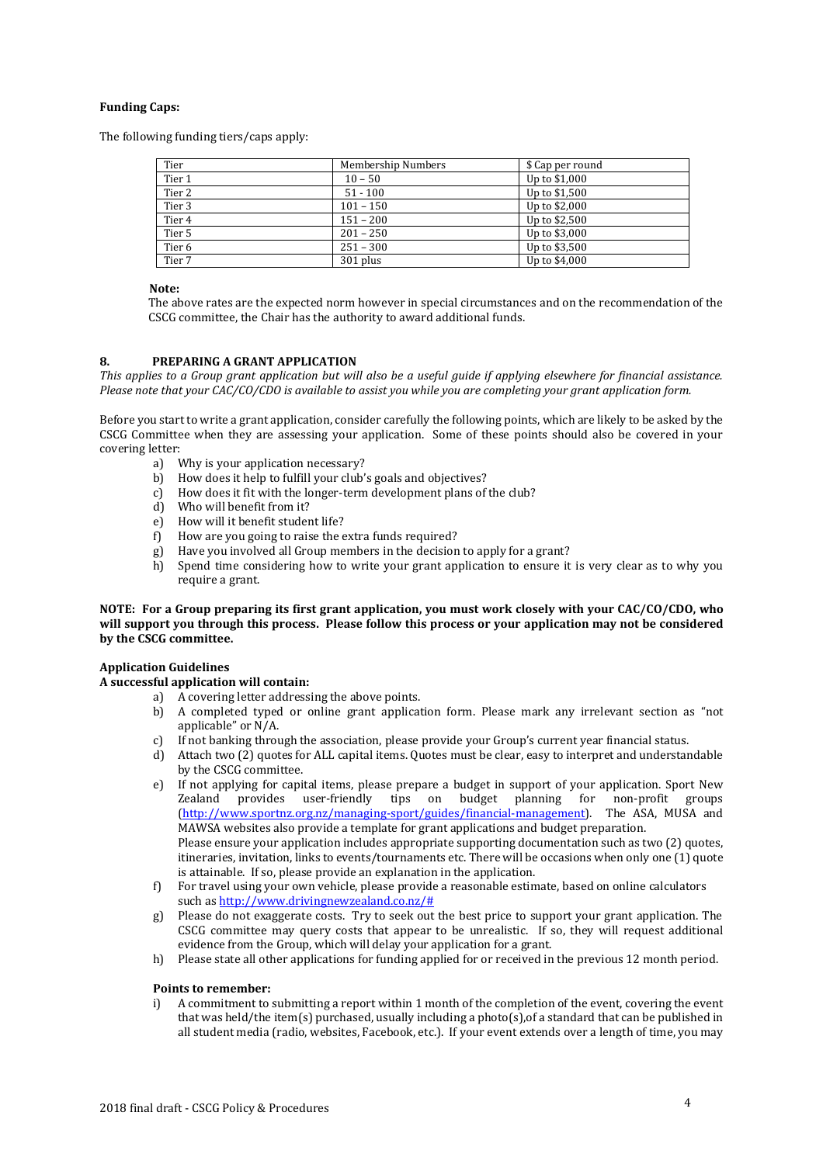## **Funding Caps:**

The following funding tiers/caps apply:

| Tier              | Membership Numbers | \$ Cap per round |
|-------------------|--------------------|------------------|
| Tier 1            | $10 - 50$          | Up to \$1,000    |
| Tier 2            | $51 - 100$         | Up to \$1,500    |
| Tier 3            | $101 - 150$        | Up to \$2,000    |
| Tier 4            | $151 - 200$        | Up to \$2,500    |
| Tier 5            | $201 - 250$        | Up to \$3,000    |
| Tier <sub>6</sub> | $251 - 300$        | Up to \$3,500    |
| Tier 7            | 301 plus           | Up to \$4,000    |

### **Note:**

The above rates are the expected norm however in special circumstances and on the recommendation of the CSCG committee, the Chair has the authority to award additional funds.

#### **8. PREPARING A GRANT APPLICATION**

*This applies to a Group grant application but will also be a useful guide if applying elsewhere for financial assistance. Please note that your CAC/CO/CDO is available to assist you while you are completing your grant application form.*

Before you start to write a grant application, consider carefully the following points, which are likely to be asked by the CSCG Committee when they are assessing your application. Some of these points should also be covered in your covering letter:

- a) Why is your application necessary?
- b) How does it help to fulfill your club's goals and objectives?
- c) How does it fit with the longer-term development plans of the club?
- d) Who will benefit from it?<br>e) How will it benefit studer
- e) How will it benefit student life?<br>f) How are you going to raise the  $\epsilon$
- How are you going to raise the extra funds required?
- g) Have you involved all Group members in the decision to apply for a grant?
- h) Spend time considering how to write your grant application to ensure it is very clear as to why you require a grant.

#### **NOTE: For a Group preparing its first grant application, you must work closely with your CAC/CO/CDO, who will support you through this process. Please follow this process or your application may not be considered by the CSCG committee.**

#### **Application Guidelines**

# **A successful application will contain:**

- a) A covering letter addressing the above points.
	- b) A completed typed or online grant application form. Please mark any irrelevant section as "not applicable" or N/A.
	- c) If not banking through the association, please provide your Group's current year financial status.
	- d) Attach two (2) quotes for ALL capital items. Quotes must be clear, easy to interpret and understandable by the CSCG committee.
	- e) If not applying for capital items, please prepare a budget in support of your application. Sport New Zealand provides user-friendly tips on budget planning for non-profit groups [\(http://www.sportnz.org.nz/managing-sport/guides/financial-management\)](http://www.sportnz.org.nz/managing-sport/guides/financial-management). The ASA, MUSA and MAWSA websites also provide a template for grant applications and budget preparation. Please ensure your application includes appropriate supporting documentation such as two (2) quotes, itineraries, invitation, links to events/tournaments etc. There will be occasions when only one (1) quote is attainable. If so, please provide an explanation in the application.
	- f) For travel using your own vehicle, please provide a reasonable estimate, based on online calculators such a[s http://www.drivingnewzealand.co.nz/#](http://www.drivingnewzealand.co.nz/)
	- g) Please do not exaggerate costs. Try to seek out the best price to support your grant application. The CSCG committee may query costs that appear to be unrealistic. If so, they will request additional evidence from the Group, which will delay your application for a grant.
	- h) Please state all other applications for funding applied for or received in the previous 12 month period.

#### **Points to remember:**

i) A commitment to submitting a report within 1 month of the completion of the event, covering the event that was held/the item(s) purchased, usually including a photo(s),of a standard that can be published in all student media (radio, websites, Facebook, etc.). If your event extends over a length of time, you may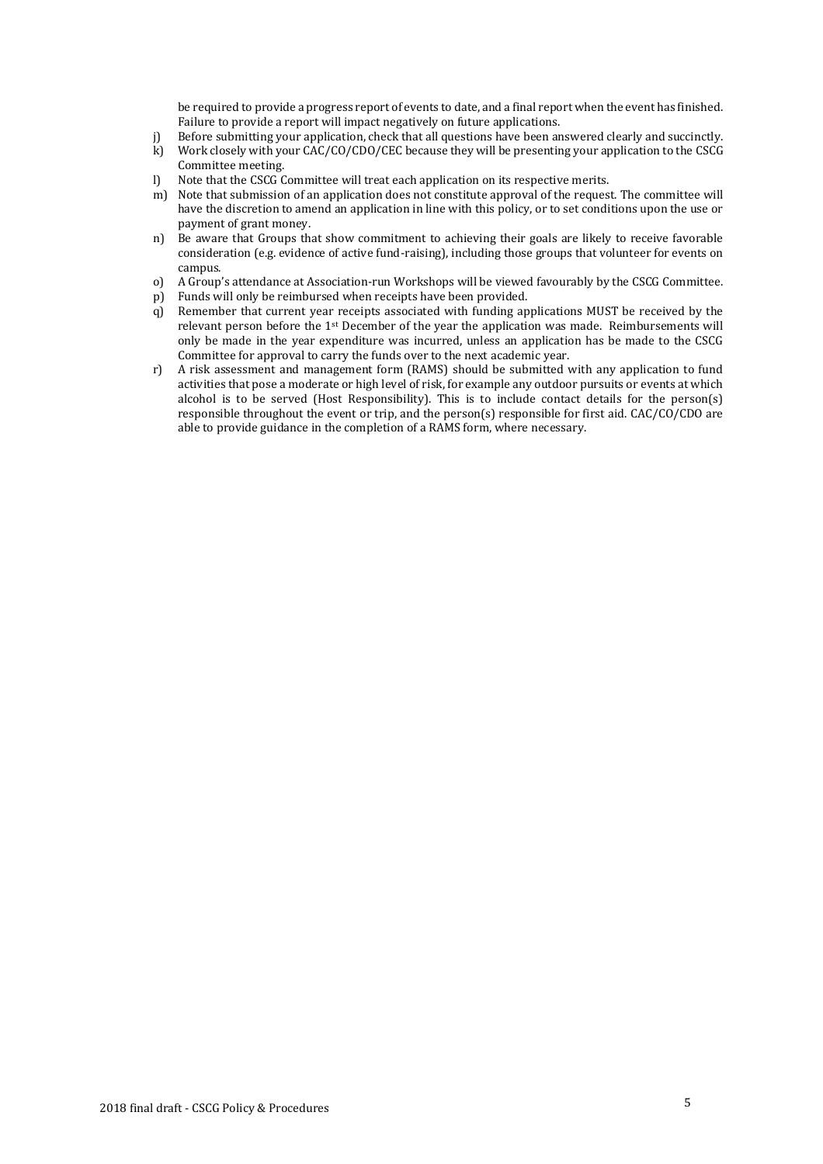be required to provide a progress report of events to date, and a final report when the event has finished. Failure to provide a report will impact negatively on future applications.

- Before submitting your application, check that all questions have been answered clearly and succinctly.
- k) Work closely with your CAC/CO/CDO/CEC because they will be presenting your application to the CSCG Committee meeting.
- l) Note that the CSCG Committee will treat each application on its respective merits.
- m) Note that submission of an application does not constitute approval of the request. The committee will have the discretion to amend an application in line with this policy, or to set conditions upon the use or payment of grant money.
- n) Be aware that Groups that show commitment to achieving their goals are likely to receive favorable consideration (e.g. evidence of active fund-raising), including those groups that volunteer for events on campus.
- o) A Group's attendance at Association-run Workshops will be viewed favourably by the CSCG Committee.
- p) Funds will only be reimbursed when receipts have been provided.
- q) Remember that current year receipts associated with funding applications MUST be received by the relevant person before the 1st December of the year the application was made. Reimbursements will only be made in the year expenditure was incurred, unless an application has be made to the CSCG Committee for approval to carry the funds over to the next academic year.
- r) A risk assessment and management form (RAMS) should be submitted with any application to fund activities that pose a moderate or high level of risk, for example any outdoor pursuits or events at which alcohol is to be served (Host Responsibility). This is to include contact details for the person(s) responsible throughout the event or trip, and the person(s) responsible for first aid. CAC/CO/CDO are able to provide guidance in the completion of a RAMS form, where necessary.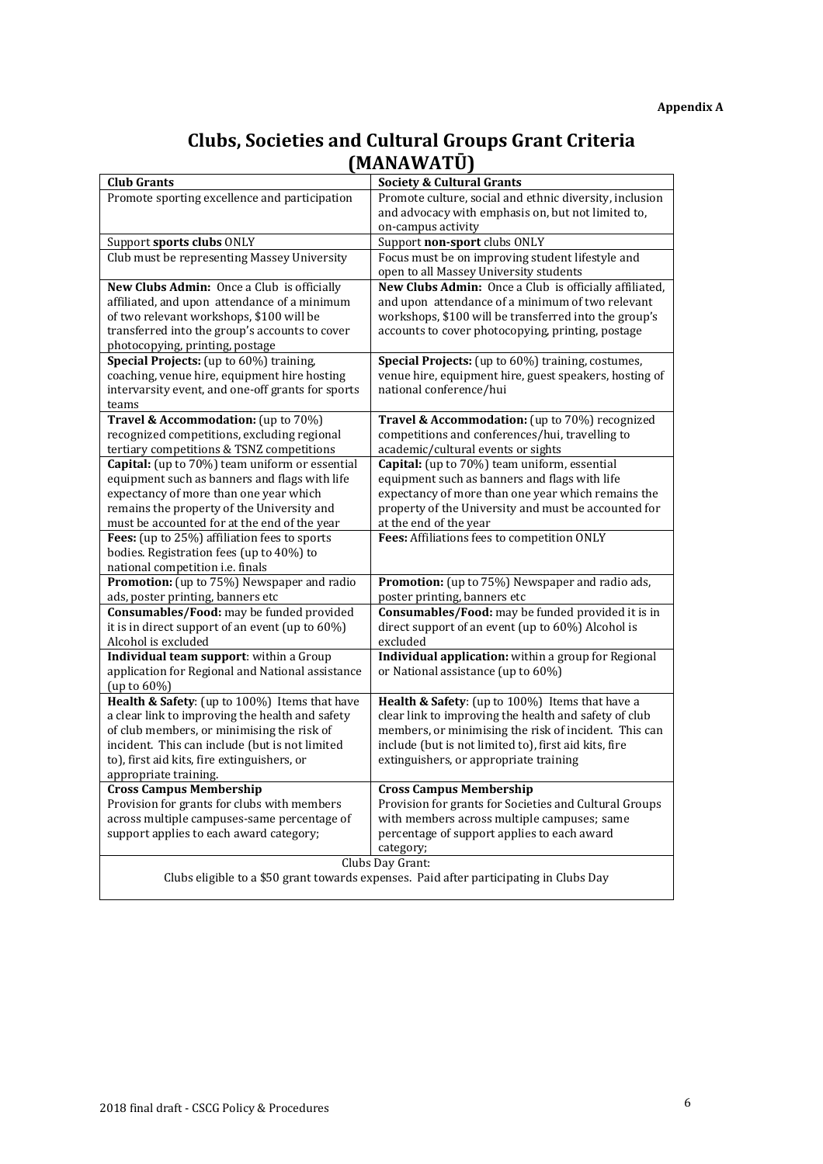# **Clubs, Societies and Cultural Groups Grant Criteria (MANAWATŪ)**

| <b>Club Grants</b>                                | <b>Society &amp; Cultural Grants</b>                                                   |
|---------------------------------------------------|----------------------------------------------------------------------------------------|
| Promote sporting excellence and participation     | Promote culture, social and ethnic diversity, inclusion                                |
|                                                   | and advocacy with emphasis on, but not limited to,                                     |
|                                                   | on-campus activity                                                                     |
| Support sports clubs ONLY                         | Support non-sport clubs ONLY                                                           |
| Club must be representing Massey University       | Focus must be on improving student lifestyle and                                       |
|                                                   | open to all Massey University students                                                 |
| New Clubs Admin: Once a Club is officially        | New Clubs Admin: Once a Club is officially affiliated,                                 |
| affiliated, and upon attendance of a minimum      | and upon attendance of a minimum of two relevant                                       |
| of two relevant workshops, \$100 will be          | workshops, \$100 will be transferred into the group's                                  |
| transferred into the group's accounts to cover    | accounts to cover photocopying, printing, postage                                      |
| photocopying, printing, postage                   |                                                                                        |
| Special Projects: (up to 60%) training,           | Special Projects: (up to 60%) training, costumes,                                      |
| coaching, venue hire, equipment hire hosting      | venue hire, equipment hire, guest speakers, hosting of                                 |
| intervarsity event, and one-off grants for sports | national conference/hui                                                                |
| teams                                             |                                                                                        |
| Travel & Accommodation: (up to 70%)               | Travel & Accommodation: (up to 70%) recognized                                         |
| recognized competitions, excluding regional       | competitions and conferences/hui, travelling to                                        |
| tertiary competitions & TSNZ competitions         | academic/cultural events or sights                                                     |
| Capital: (up to 70%) team uniform or essential    | Capital: (up to 70%) team uniform, essential                                           |
| equipment such as banners and flags with life     | equipment such as banners and flags with life                                          |
| expectancy of more than one year which            | expectancy of more than one year which remains the                                     |
| remains the property of the University and        | property of the University and must be accounted for                                   |
| must be accounted for at the end of the year      | at the end of the year                                                                 |
| Fees: (up to 25%) affiliation fees to sports      | Fees: Affiliations fees to competition ONLY                                            |
| bodies. Registration fees (up to 40%) to          |                                                                                        |
| national competition i.e. finals                  |                                                                                        |
| Promotion: (up to 75%) Newspaper and radio        | Promotion: (up to 75%) Newspaper and radio ads,                                        |
| ads, poster printing, banners etc                 | poster printing, banners etc                                                           |
| Consumables/Food: may be funded provided          | Consumables/Food: may be funded provided it is in                                      |
| it is in direct support of an event (up to 60%)   | direct support of an event (up to 60%) Alcohol is                                      |
| Alcohol is excluded                               | excluded                                                                               |
| Individual team support: within a Group           | Individual application: within a group for Regional                                    |
| application for Regional and National assistance  | or National assistance (up to 60%)                                                     |
| (up to $60\%$ )                                   |                                                                                        |
| Health & Safety: (up to 100%) Items that have     | Health & Safety: (up to 100%) Items that have a                                        |
| a clear link to improving the health and safety   | clear link to improving the health and safety of club                                  |
| of club members, or minimising the risk of        | members, or minimising the risk of incident. This can                                  |
| incident. This can include (but is not limited    | include (but is not limited to), first aid kits, fire                                  |
| to), first aid kits, fire extinguishers, or       | extinguishers, or appropriate training                                                 |
| appropriate training.                             |                                                                                        |
| <b>Cross Campus Membership</b>                    | <b>Cross Campus Membership</b>                                                         |
| Provision for grants for clubs with members       | Provision for grants for Societies and Cultural Groups                                 |
| across multiple campuses-same percentage of       | with members across multiple campuses; same                                            |
| support applies to each award category;           | percentage of support applies to each award                                            |
|                                                   | category;                                                                              |
|                                                   | Clubs Day Grant:                                                                       |
|                                                   | Clubs eligible to a \$50 grant towards expenses. Paid after participating in Clubs Day |
|                                                   |                                                                                        |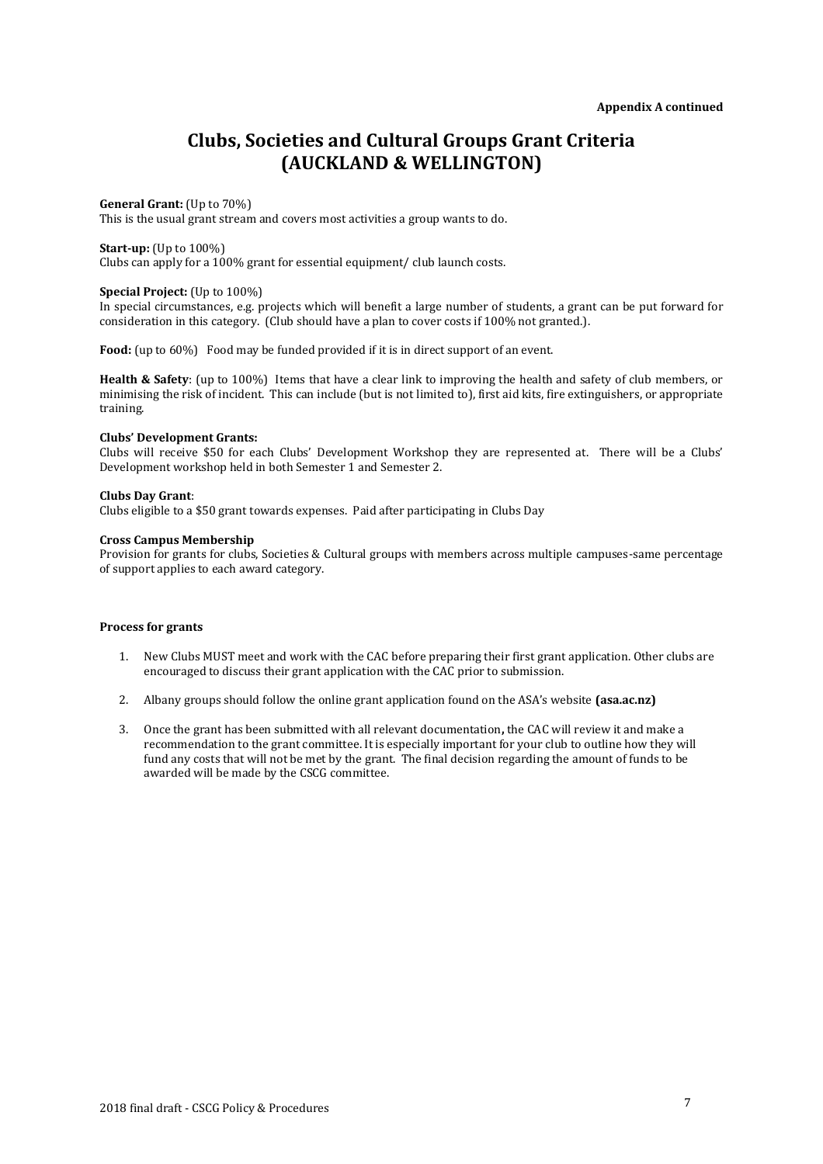# **Clubs, Societies and Cultural Groups Grant Criteria (AUCKLAND & WELLINGTON)**

#### **General Grant:** (Up to 70%)

This is the usual grant stream and covers most activities a group wants to do.

**Start-up:** (Up to 100%)

Clubs can apply for a 100% grant for essential equipment/ club launch costs.

# **Special Project:** (Up to 100%)

In special circumstances, e.g. projects which will benefit a large number of students, a grant can be put forward for consideration in this category. (Club should have a plan to cover costs if 100% not granted.).

Food: (up to 60%) Food may be funded provided if it is in direct support of an event.

**Health & Safety**: (up to 100%) Items that have a clear link to improving the health and safety of club members, or minimising the risk of incident. This can include (but is not limited to), first aid kits, fire extinguishers, or appropriate training.

#### **Clubs' Development Grants:**

Clubs will receive \$50 for each Clubs' Development Workshop they are represented at. There will be a Clubs' Development workshop held in both Semester 1 and Semester 2.

#### **Clubs Day Grant**:

Clubs eligible to a \$50 grant towards expenses. Paid after participating in Clubs Day

#### **Cross Campus Membership**

Provision for grants for clubs, Societies & Cultural groups with members across multiple campuses-same percentage of support applies to each award category.

#### **Process for grants**

- 1. New Clubs MUST meet and work with the CAC before preparing their first grant application. Other clubs are encouraged to discuss their grant application with the CAC prior to submission.
- 2. Albany groups should follow the online grant application found on the ASA's website **(asa.ac.nz)**
- 3. Once the grant has been submitted with all relevant documentation**,** the CAC will review it and make a recommendation to the grant committee. It is especially important for your club to outline how they will fund any costs that will not be met by the grant. The final decision regarding the amount of funds to be awarded will be made by the CSCG committee.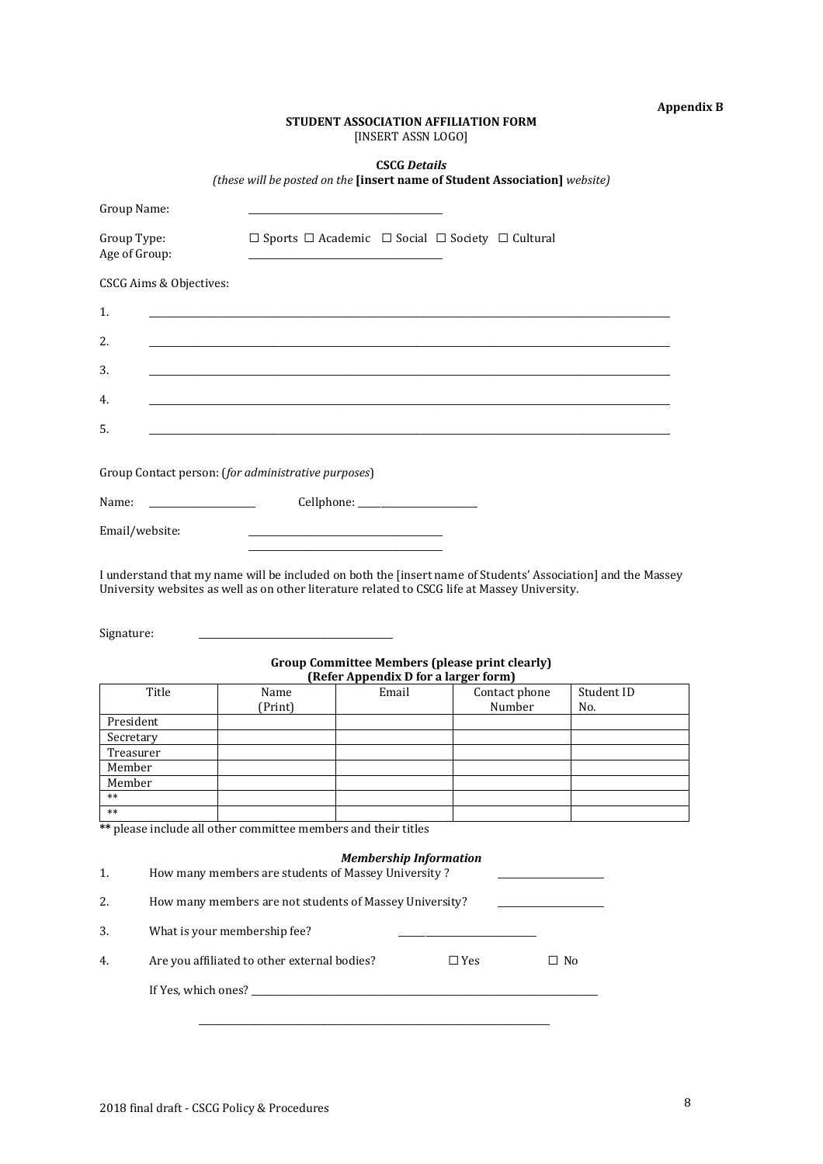# **Appendix B**

# **STUDENT ASSOCIATION AFFILIATION FORM** [INSERT ASSN LOGO]

**CSCG** *Details*

*(these will be posted on the* **[insert name of Student Association]** *website)*

| Group Name:                                                                                                                                                                                                                 |                                                                                                                      |                                               |                                                                            |            |
|-----------------------------------------------------------------------------------------------------------------------------------------------------------------------------------------------------------------------------|----------------------------------------------------------------------------------------------------------------------|-----------------------------------------------|----------------------------------------------------------------------------|------------|
| Group Type:<br>Age of Group:                                                                                                                                                                                                |                                                                                                                      |                                               | $\Box$ Sports $\Box$ Academic $\Box$ Social $\Box$ Society $\Box$ Cultural |            |
| CSCG Aims & Objectives:                                                                                                                                                                                                     |                                                                                                                      |                                               |                                                                            |            |
| 1.                                                                                                                                                                                                                          |                                                                                                                      |                                               |                                                                            |            |
| 2.                                                                                                                                                                                                                          |                                                                                                                      |                                               |                                                                            |            |
| 3.                                                                                                                                                                                                                          |                                                                                                                      |                                               |                                                                            |            |
| 4.                                                                                                                                                                                                                          |                                                                                                                      |                                               |                                                                            |            |
| 5.                                                                                                                                                                                                                          |                                                                                                                      |                                               |                                                                            |            |
|                                                                                                                                                                                                                             |                                                                                                                      |                                               |                                                                            |            |
| Group Contact person: (for administrative purposes)                                                                                                                                                                         |                                                                                                                      |                                               |                                                                            |            |
| Name:                                                                                                                                                                                                                       |                                                                                                                      |                                               |                                                                            |            |
| Email/website:                                                                                                                                                                                                              |                                                                                                                      |                                               |                                                                            |            |
| I understand that my name will be included on both the [insert name of Students' Association] and the Massey<br>University websites as well as on other literature related to CSCG life at Massey University.<br>Signature: |                                                                                                                      |                                               | <b>Group Committee Members (please print clearly)</b>                      |            |
| Title                                                                                                                                                                                                                       | Name                                                                                                                 | (Refer Appendix D for a larger form)<br>Email | Contact phone                                                              | Student ID |
|                                                                                                                                                                                                                             | (Print)                                                                                                              |                                               | Number                                                                     | No.        |
| President<br>Secretary                                                                                                                                                                                                      |                                                                                                                      |                                               |                                                                            |            |
| Treasurer                                                                                                                                                                                                                   |                                                                                                                      |                                               |                                                                            |            |
| Member                                                                                                                                                                                                                      |                                                                                                                      |                                               |                                                                            |            |
| Member<br>$**$                                                                                                                                                                                                              |                                                                                                                      |                                               |                                                                            |            |
| $***$                                                                                                                                                                                                                       |                                                                                                                      |                                               |                                                                            |            |
| ** please include all other committee members and their titles                                                                                                                                                              | <u> 1980 - Johann Barbara, martin amerikan basal dan basal dan basal dan basal dan basal dan basal dan basal dan</u> |                                               |                                                                            |            |
| <b>Membership Information</b><br>How many members are students of Massey University?<br>1.<br>How many members are not students of Massey University?<br>2.<br><u> 1999 - Johann Barbara, martin a</u>                      |                                                                                                                      |                                               |                                                                            |            |
| What is your membership fee?<br>3.<br>the control of the control of the control of                                                                                                                                          |                                                                                                                      |                                               |                                                                            |            |
|                                                                                                                                                                                                                             |                                                                                                                      |                                               |                                                                            |            |
| 4.                                                                                                                                                                                                                          | Are you affiliated to other external bodies?                                                                         |                                               | $\square$ Yes<br>$\Box$ No                                                 |            |

\_\_\_\_\_\_\_\_\_\_\_\_\_\_\_\_\_\_\_\_\_\_\_\_\_\_\_\_\_\_\_\_\_\_\_\_\_\_\_\_\_\_\_\_\_\_\_\_\_\_\_\_\_\_\_\_\_\_\_\_\_\_\_\_\_\_\_\_\_\_\_\_\_\_\_\_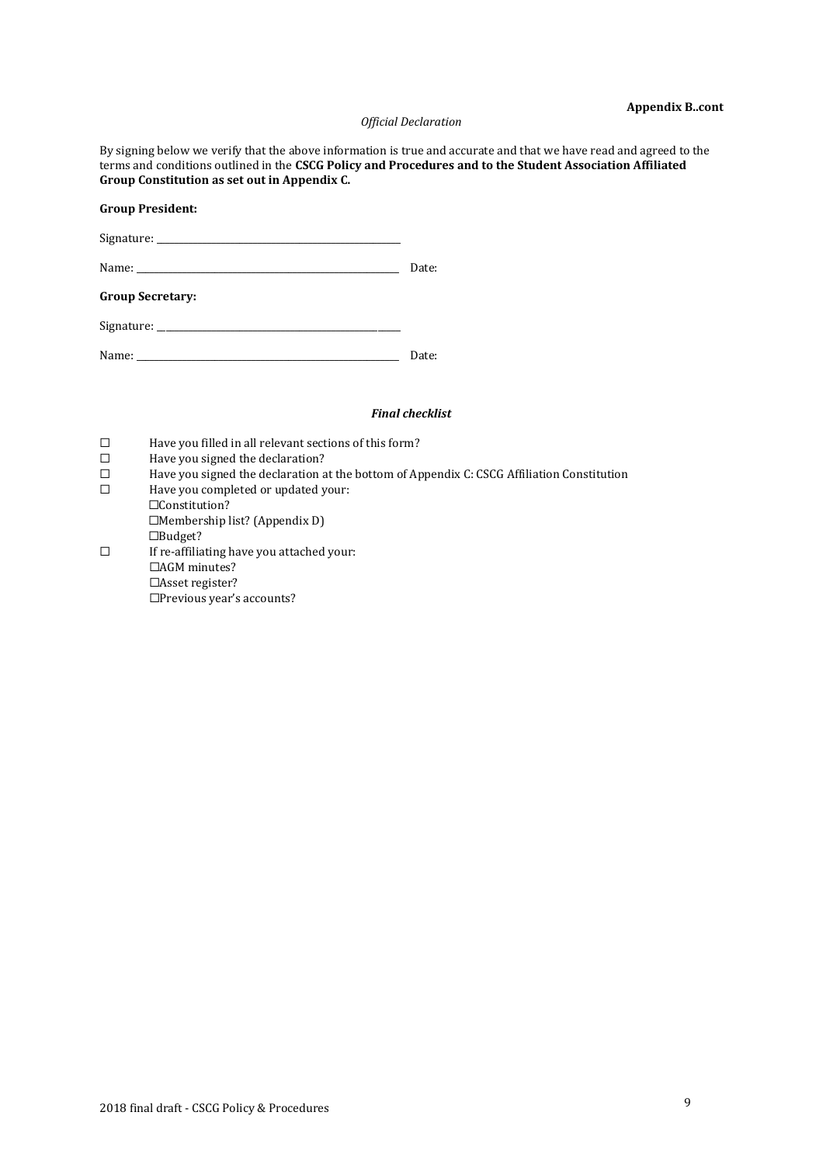#### **Appendix B..cont**

#### *Official Declaration*

By signing below we verify that the above information is true and accurate and that we have read and agreed to the terms and conditions outlined in the **CSCG Policy and Procedures and to the Student Association Affiliated Group Constitution as set out in Appendix C.**

#### **Group President:**

Signature: \_\_\_\_\_\_\_\_\_\_\_\_\_\_\_\_\_\_\_\_\_\_\_\_\_\_\_\_\_\_\_\_\_\_\_\_\_\_\_\_\_\_\_\_\_\_\_\_\_\_\_\_\_

| Name: |  |
|-------|--|
|-------|--|

# **Group Secretary:**

| Signature: |  |
|------------|--|
|            |  |

| Name: |  |
|-------|--|
|-------|--|

# *Final checklist*

- □ Have you filled in all relevant sections of this form?<br>□ Have you signed the declaration?
- $\Box$  Have you signed the declaration?<br> $\Box$  Have you signed the declaration a
- Have you signed the declaration at the bottom of Appendix C: CSCG Affiliation Constitution
- ☐ Have you completed or updated your: ☐Constitution?

☐Membership list? (Appendix D) ☐Budget?

☐ If re-affiliating have you attached your: ☐AGM minutes? ☐Asset register? ☐Previous year's accounts?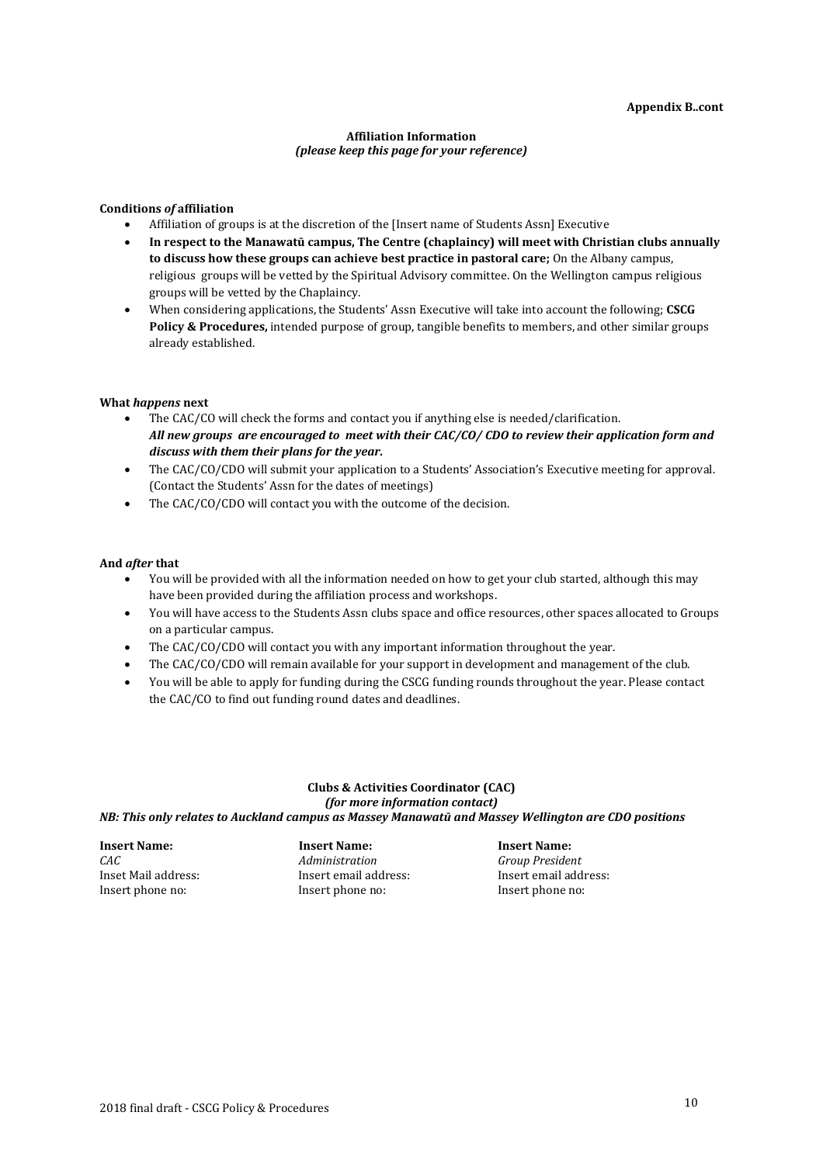### **Affiliation Information** *(please keep this page for your reference)*

#### **Conditions** *of* **affiliation**

- Affiliation of groups is at the discretion of the [Insert name of Students Assn] Executive
- **In respect to the Manawatū campus, The Centre (chaplaincy) will meet with Christian clubs annually to discuss how these groups can achieve best practice in pastoral care;** On the Albany campus, religious groups will be vetted by the Spiritual Advisory committee. On the Wellington campus religious groups will be vetted by the Chaplaincy.
- When considering applications, the Students' Assn Executive will take into account the following; **CSCG Policy & Procedures,** intended purpose of group, tangible benefits to members, and other similar groups already established.

#### **What** *happens* **next**

- The CAC/CO will check the forms and contact you if anything else is needed/clarification. *All new groups are encouraged to meet with their CAC/CO/ CDO to review their application form and discuss with them their plans for the year.*
- The CAC/CO/CDO will submit your application to a Students' Association's Executive meeting for approval. (Contact the Students' Assn for the dates of meetings)
- The CAC/CO/CDO will contact you with the outcome of the decision.

#### **And** *after* **that**

- You will be provided with all the information needed on how to get your club started, although this may have been provided during the affiliation process and workshops.
- You will have access to the Students Assn clubs space and office resources, other spaces allocated to Groups on a particular campus.
- The CAC/CO/CDO will contact you with any important information throughout the year.
- The CAC/CO/CDO will remain available for your support in development and management of the club.
- You will be able to apply for funding during the CSCG funding rounds throughout the year. Please contact the CAC/CO to find out funding round dates and deadlines.

#### **Clubs & Activities Coordinator (CAC)** *(for more information contact) NB: This only relates to Auckland campus as Massey Manawatū and Massey Wellington are CDO positions*

**Insert Name: Insert Name: Insert Name:** *CAC Administration Group President* Insert phone no: Insert phone no: Insert phone no:

Inset Mail address: Insert email address: Insert email address: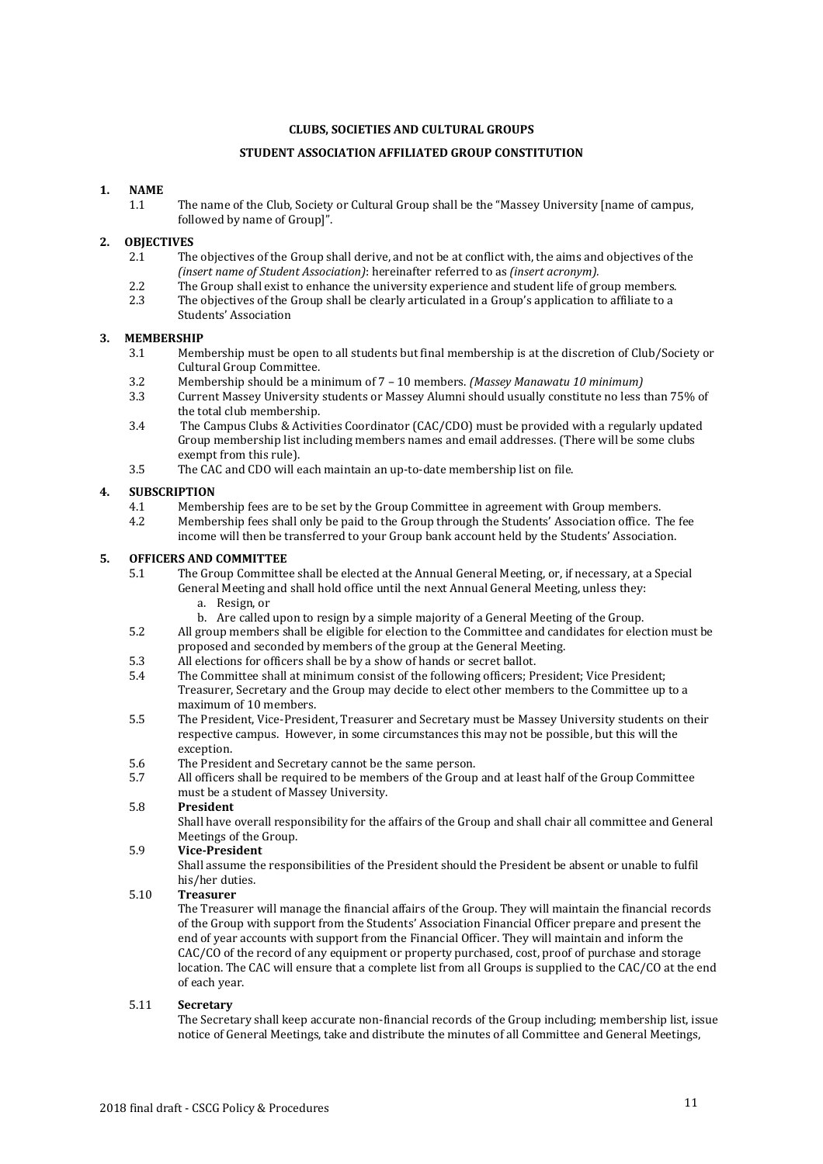# **CLUBS, SOCIETIES AND CULTURAL GROUPS**

# **STUDENT ASSOCIATION AFFILIATED GROUP CONSTITUTION**

# **1. NAME**

1.1 The name of the Club, Society or Cultural Group shall be the "Massey University [name of campus, followed by name of Group]".

# **2. OBJECTIVES**

- 2.1 The objectives of the Group shall derive, and not be at conflict with, the aims and objectives of the *(insert name of Student Association)*: hereinafter referred to as *(insert acronym).*
- 2.2 The Group shall exist to enhance the university experience and student life of group members.<br>2.3 The objectives of the Group shall be clearly articulated in a Group's application to affiliate to a
- The objectives of the Group shall be clearly articulated in a Group's application to affiliate to a Students' Association

#### **3. MEMBERSHIP**

- 3.1 Membership must be open to all students but final membership is at the discretion of Club/Society or Cultural Group Committee.
- 3.2 Membership should be a minimum of 7 10 members. *(Massey Manawatu 10 minimum)*
- 3.3 Current Massey University students or Massey Alumni should usually constitute no less than 75% of the total club membership.
- 3.4 The Campus Clubs & Activities Coordinator (CAC/CDO) must be provided with a regularly updated Group membership list including members names and email addresses. (There will be some clubs exempt from this rule).
- 3.5 The CAC and CDO will each maintain an up-to-date membership list on file.

### **4. SUBSCRIPTION**

- 4.1 Membership fees are to be set by the Group Committee in agreement with Group members.<br>4.2 Membership fees shall only be paid to the Group through the Students' Association office. T
- Membership fees shall only be paid to the Group through the Students' Association office. The fee income will then be transferred to your Group bank account held by the Students' Association.

#### **5. OFFICERS AND COMMITTEE**

- 5.1 The Group Committee shall be elected at the Annual General Meeting, or, if necessary, at a Special General Meeting and shall hold office until the next Annual General Meeting, unless they:
	- a. Resign, or
	- b. Are called upon to resign by a simple majority of a General Meeting of the Group.
- 5.2 All group members shall be eligible for election to the Committee and candidates for election must be proposed and seconded by members of the group at the General Meeting.
- 5.3 All elections for officers shall be by a show of hands or secret ballot.
- 5.4 The Committee shall at minimum consist of the following officers; President; Vice President; Treasurer, Secretary and the Group may decide to elect other members to the Committee up to a maximum of 10 members.
- 5.5 The President, Vice-President, Treasurer and Secretary must be Massey University students on their respective campus. However, in some circumstances this may not be possible, but this will the exception.
- 5.6 The President and Secretary cannot be the same person.
- 5.7 All officers shall be required to be members of the Group and at least half of the Group Committee must be a student of Massey University.

#### 5.8 **President**

Shall have overall responsibility for the affairs of the Group and shall chair all committee and General Meetings of the Group.

#### 5.9 **Vice-President**

Shall assume the responsibilities of the President should the President be absent or unable to fulfil his/her duties.

#### 5.10 **Treasurer**

The Treasurer will manage the financial affairs of the Group. They will maintain the financial records of the Group with support from the Students' Association Financial Officer prepare and present the end of year accounts with support from the Financial Officer. They will maintain and inform the CAC/CO of the record of any equipment or property purchased, cost, proof of purchase and storage location. The CAC will ensure that a complete list from all Groups is supplied to the CAC/CO at the end of each year.

#### 5.11 **Secretary**

The Secretary shall keep accurate non-financial records of the Group including; membership list, issue notice of General Meetings, take and distribute the minutes of all Committee and General Meetings,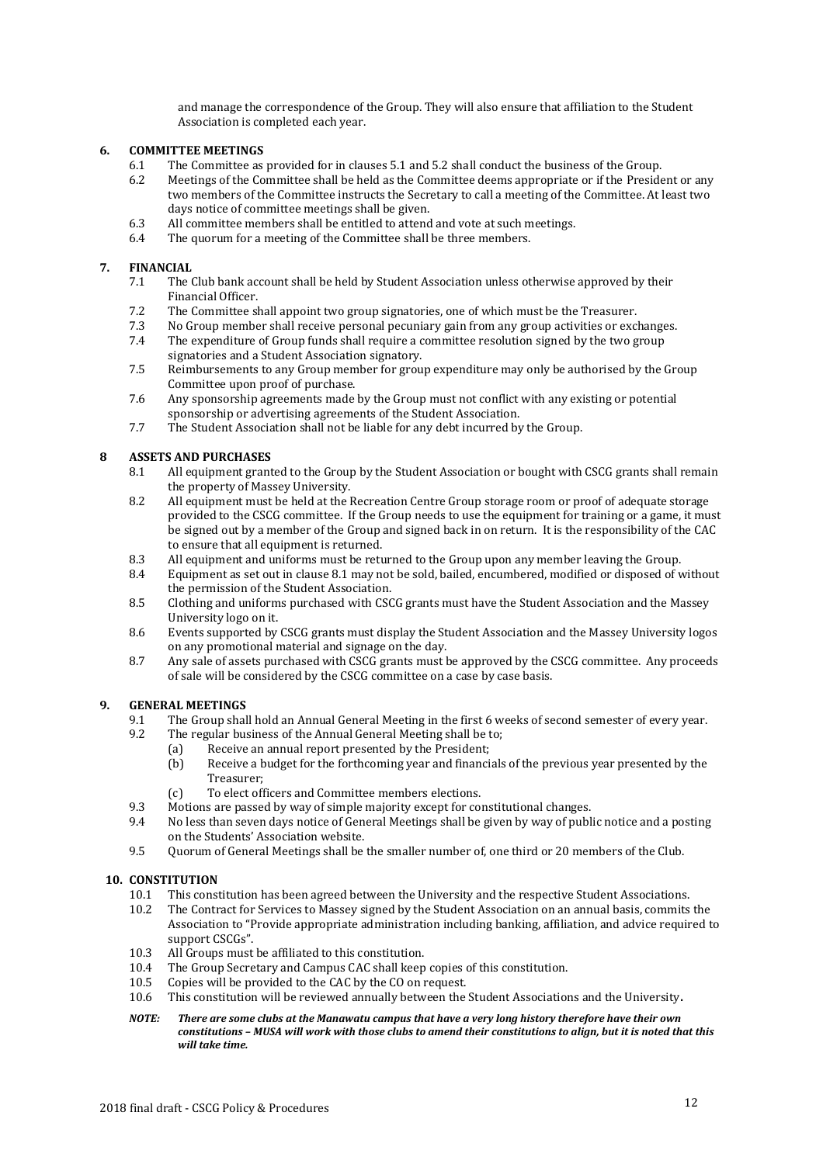and manage the correspondence of the Group. They will also ensure that affiliation to the Student Association is completed each year.

# **6. COMMITTEE MEETINGS**

- 6.1 The Committee as provided for in clauses 5.1 and 5.2 shall conduct the business of the Group.<br>6.2 Meetings of the Committee shall be held as the Committee deems appropriate or if the Preside
- Meetings of the Committee shall be held as the Committee deems appropriate or if the President or any two members of the Committee instructs the Secretary to call a meeting of the Committee. At least two days notice of committee meetings shall be given.
- 6.3 All committee members shall be entitled to attend and vote at such meetings.<br>6.4 The quorum for a meeting of the Committee shall be three members.
- The quorum for a meeting of the Committee shall be three members.

# **7. FINANCIAL**

- 7.1 The Club bank account shall be held by Student Association unless otherwise approved by their Financial Officer.
- 7.2 The Committee shall appoint two group signatories, one of which must be the Treasurer.
- 7.3 No Group member shall receive personal pecuniary gain from any group activities or exchanges.
- 7.4 The expenditure of Group funds shall require a committee resolution signed by the two group signatories and a Student Association signatory.
- 7.5 Reimbursements to any Group member for group expenditure may only be authorised by the Group Committee upon proof of purchase.
- 7.6 Any sponsorship agreements made by the Group must not conflict with any existing or potential sponsorship or advertising agreements of the Student Association.
- 7.7 The Student Association shall not be liable for any debt incurred by the Group.

# **8 ASSETS AND PURCHASES**

- 8.1 All equipment granted to the Group by the Student Association or bought with CSCG grants shall remain the property of Massey University.
- 8.2 All equipment must be held at the Recreation Centre Group storage room or proof of adequate storage provided to the CSCG committee. If the Group needs to use the equipment for training or a game, it must be signed out by a member of the Group and signed back in on return. It is the responsibility of the CAC to ensure that all equipment is returned.
- 8.3 All equipment and uniforms must be returned to the Group upon any member leaving the Group.
- 8.4 Equipment as set out in clause 8.1 may not be sold, bailed, encumbered, modified or disposed of without the permission of the Student Association.
- 8.5 Clothing and uniforms purchased with CSCG grants must have the Student Association and the Massey University logo on it.
- 8.6 Events supported by CSCG grants must display the Student Association and the Massey University logos on any promotional material and signage on the day.
- 8.7 Any sale of assets purchased with CSCG grants must be approved by the CSCG committee. Any proceeds of sale will be considered by the CSCG committee on a case by case basis.

## **9. GENERAL MEETINGS**

- 9.1 The Group shall hold an Annual General Meeting in the first 6 weeks of second semester of every year.<br>9.2 The regular business of the Annual General Meeting shall be to:
	- The regular business of the Annual General Meeting shall be to;
		- (a) Receive an annual report presented by the President;
		- (b) Receive a budget for the forthcoming year and financials of the previous year presented by the Treasurer;
		- (c) To elect officers and Committee members elections.
- 9.3 Motions are passed by way of simple majority except for constitutional changes.
- 9.4 No less than seven days notice of General Meetings shall be given by way of public notice and a posting on the Students' Association website.
- 9.5 Quorum of General Meetings shall be the smaller number of, one third or 20 members of the Club.

#### **10. CONSTITUTION**

- 10.1 This constitution has been agreed between the University and the respective Student Associations.
- 10.2 The Contract for Services to Massey signed by the Student Association on an annual basis, commits the Association to "Provide appropriate administration including banking, affiliation, and advice required to support CSCGs".
- 10.3 All Groups must be affiliated to this constitution.
- 10.4 The Group Secretary and Campus CAC shall keep copies of this constitution.
- 10.5 Copies will be provided to the CAC by the CO on request.
- 10.6 This constitution will be reviewed annually between the Student Associations and the University**.**
- *NOTE: There are some clubs at the Manawatu campus that have a very long history therefore have their own constitutions – MUSA will work with those clubs to amend their constitutions to align, but it is noted that this will take time.*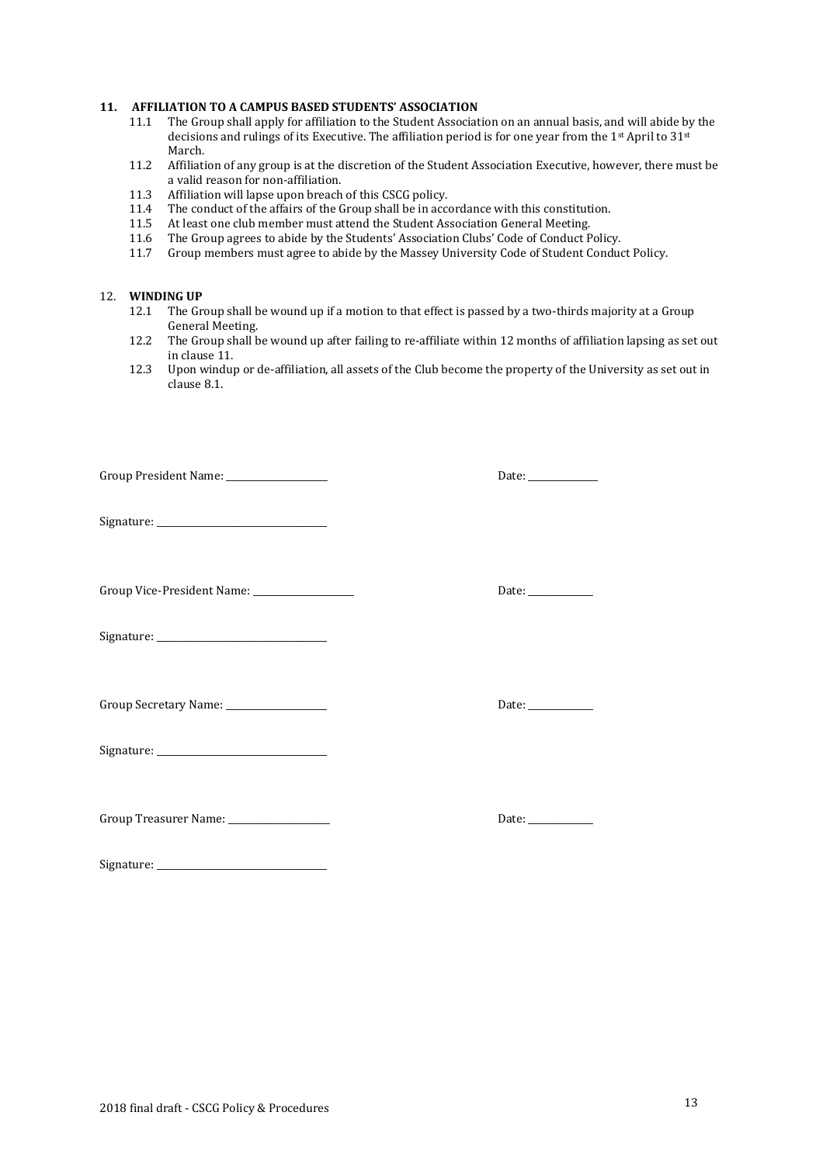# **11. AFFILIATION TO A CAMPUS BASED STUDENTS' ASSOCIATION**

- The Group shall apply for affiliation to the Student Association on an annual basis, and will abide by the decisions and rulings of its Executive. The affiliation period is for one year from the 1st April to 31st March.
- 11.2 Affiliation of any group is at the discretion of the Student Association Executive, however, there must be a valid reason for non-affiliation.
- 11.3 Affiliation will lapse upon breach of this CSCG policy.<br>11.4 The conduct of the affairs of the Group shall be in acce
- 11.4 The conduct of the affairs of the Group shall be in accordance with this constitution.<br>11.5 At least one club member must attend the Student Association General Meeting.
- 11.5 At least one club member must attend the Student Association General Meeting.<br>11.6 The Group agrees to abide by the Students' Association Clubs' Code of Conduct P
- 11.6 The Group agrees to abide by the Students' Association Clubs' Code of Conduct Policy.<br>11.7 Group members must agree to abide by the Massey University Code of Student Conduc
- Group members must agree to abide by the Massey University Code of Student Conduct Policy.

# 12. **WINDING UP**

- The Group shall be wound up if a motion to that effect is passed by a two-thirds majority at a Group General Meeting.
- 12.2 The Group shall be wound up after failing to re-affiliate within 12 months of affiliation lapsing as set out in clause 11.
- 12.3 Upon windup or de-affiliation, all assets of the Club become the property of the University as set out in clause 8.1.

| Group President Name: _________________        | Date: $\frac{1}{\sqrt{1-\frac{1}{2}}\cdot\frac{1}{2}}$ |
|------------------------------------------------|--------------------------------------------------------|
|                                                |                                                        |
| Group Vice-President Name: ___________________ | Date: $\frac{1}{\sqrt{1-\frac{1}{2}}\cdot\frac{1}{2}}$ |
|                                                |                                                        |
| Group Secretary Name: __________________       | Date: ____________                                     |
|                                                |                                                        |

Signature:

Group Treasurer Name: \_\_\_\_\_\_\_\_\_\_\_\_\_\_\_\_\_\_\_\_\_\_ Date: \_\_\_\_\_\_\_\_\_\_\_\_\_\_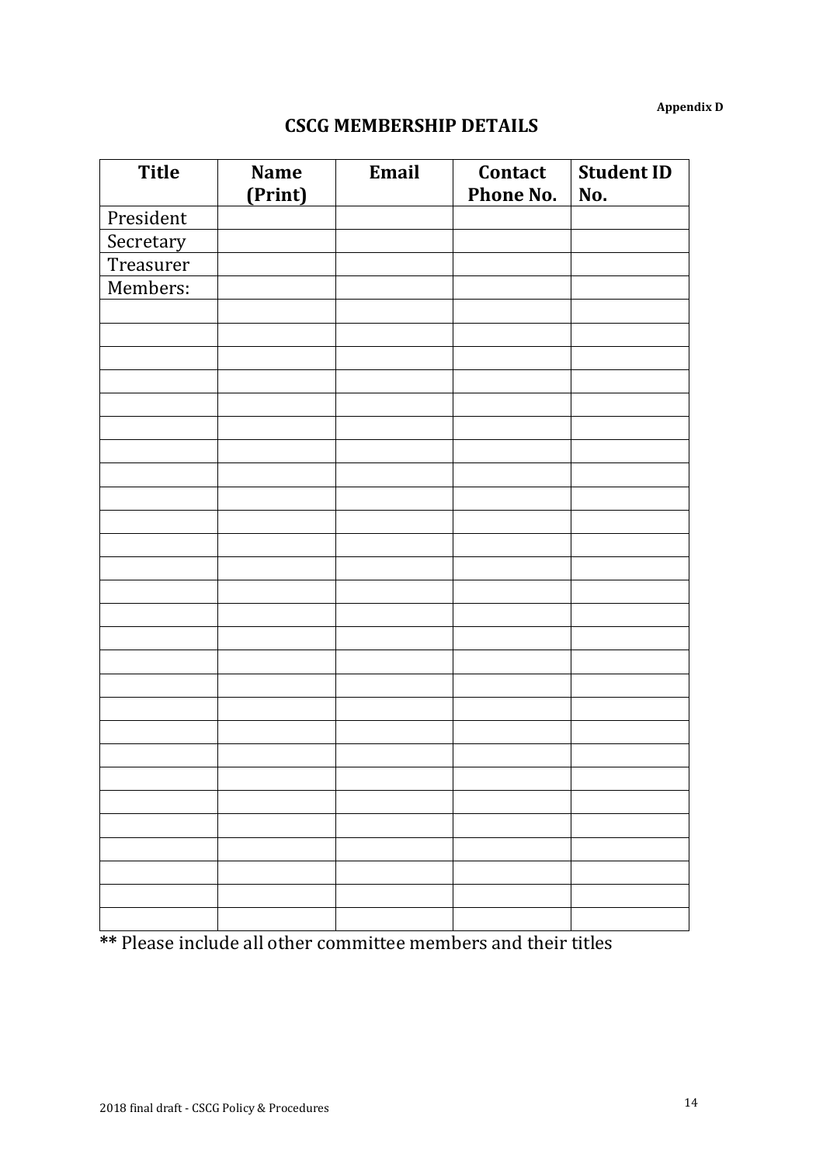**Appendix D**

# **CSCG MEMBERSHIP DETAILS**

| <b>Title</b> | <b>Name</b><br>(Print) | Email | Contact<br>Phone No. | Student ID<br>No. |
|--------------|------------------------|-------|----------------------|-------------------|
| President    |                        |       |                      |                   |
| Secretary    |                        |       |                      |                   |
| Treasurer    |                        |       |                      |                   |
| Members:     |                        |       |                      |                   |
|              |                        |       |                      |                   |
|              |                        |       |                      |                   |
|              |                        |       |                      |                   |
|              |                        |       |                      |                   |
|              |                        |       |                      |                   |
|              |                        |       |                      |                   |
|              |                        |       |                      |                   |
|              |                        |       |                      |                   |
|              |                        |       |                      |                   |
|              |                        |       |                      |                   |
|              |                        |       |                      |                   |
|              |                        |       |                      |                   |
|              |                        |       |                      |                   |
|              |                        |       |                      |                   |
|              |                        |       |                      |                   |
|              |                        |       |                      |                   |
|              |                        |       |                      |                   |
|              |                        |       |                      |                   |
|              |                        |       |                      |                   |
|              |                        |       |                      |                   |
|              |                        |       |                      |                   |
|              |                        |       |                      |                   |
|              |                        |       |                      |                   |
|              |                        |       |                      |                   |
|              |                        |       |                      |                   |
|              |                        |       |                      |                   |
|              |                        |       |                      |                   |

**\*\*** Please include all other committee members and their titles